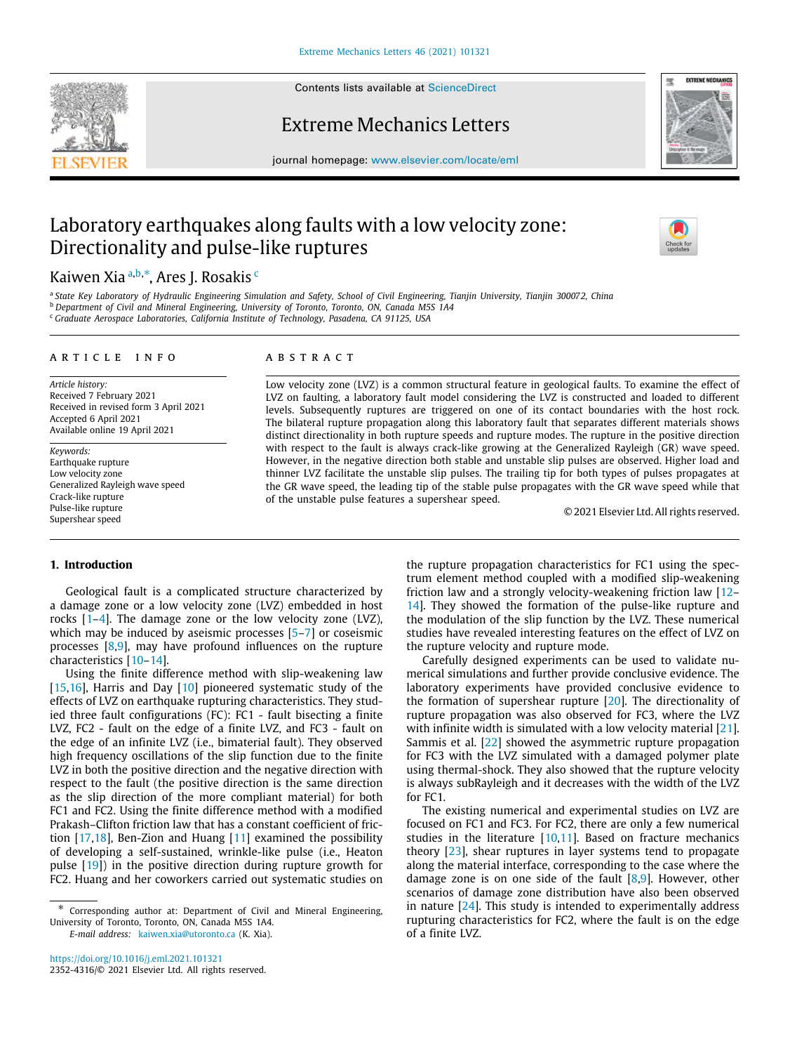Contents lists available at [ScienceDirect](http://www.elsevier.com/locate/eml)

# Extreme Mechanics Letters



journal homepage: [www.elsevier.com/locate/eml](http://www.elsevier.com/locate/eml)

# Laboratory earthquakes along faults with a low velocity zone: Directionality and pulse-like ruptures

# K[a](#page-0-0)iwen Xia <sup>a,[b](#page-0-1),[∗](#page-0-2)</sup>, Ares J. Rosakis <sup>[c](#page-0-3)</sup>

<span id="page-0-3"></span><span id="page-0-1"></span><span id="page-0-0"></span>a *State Key Laboratory of Hydraulic Engineering Simulation and Safety, School of Civil Engineering, Tianjin University, Tianjin 300072, China* <sup>b</sup> *Department of Civil and Mineral Engineering, University of Toronto, Toronto, ON, Canada M5S 1A4* <sup>c</sup> *Graduate Aerospace Laboratories, California Institute of Technology, Pasadena, CA 91125, USA*

## a r t i c l e i n f o

*Article history:* Received 7 February 2021 Received in revised form 3 April 2021 Accepted 6 April 2021 Available online 19 April 2021

*Keywords:* Earthquake rupture Low velocity zone Generalized Rayleigh wave speed Crack-like rupture Pulse-like rupture Supershear speed

# A B S T R A C T

Low velocity zone (LVZ) is a common structural feature in geological faults. To examine the effect of LVZ on faulting, a laboratory fault model considering the LVZ is constructed and loaded to different levels. Subsequently ruptures are triggered on one of its contact boundaries with the host rock. The bilateral rupture propagation along this laboratory fault that separates different materials shows distinct directionality in both rupture speeds and rupture modes. The rupture in the positive direction with respect to the fault is always crack-like growing at the Generalized Rayleigh (GR) wave speed. However, in the negative direction both stable and unstable slip pulses are observed. Higher load and thinner LVZ facilitate the unstable slip pulses. The trailing tip for both types of pulses propagates at the GR wave speed, the leading tip of the stable pulse propagates with the GR wave speed while that of the unstable pulse features a supershear speed.

© 2021 Elsevier Ltd. All rights reserved.

# **1. Introduction**

Geological fault is a complicated structure characterized by a damage zone or a low velocity zone (LVZ) embedded in host rocks [\[1–](#page-4-0)[4](#page-4-1)]. The damage zone or the low velocity zone (LVZ), which may be induced by aseismic processes [\[5](#page-4-2)-[7\]](#page-4-3) or coseismic processes [[8,](#page-4-4)[9](#page-4-5)], may have profound influences on the rupture characteristics [[10](#page-4-6)–[14\]](#page-4-7).

Using the finite difference method with slip-weakening law [[15](#page-4-8)[,16\]](#page-4-9), Harris and Day [[10\]](#page-4-6) pioneered systematic study of the effects of LVZ on earthquake rupturing characteristics. They studied three fault configurations (FC): FC1 - fault bisecting a finite LVZ, FC2 - fault on the edge of a finite LVZ, and FC3 - fault on the edge of an infinite LVZ (i.e., bimaterial fault). They observed high frequency oscillations of the slip function due to the finite LVZ in both the positive direction and the negative direction with respect to the fault (the positive direction is the same direction as the slip direction of the more compliant material) for both FC1 and FC2. Using the finite difference method with a modified Prakash–Clifton friction law that has a constant coefficient of friction  $[17,18]$  $[17,18]$  $[17,18]$ , Ben-Zion and Huang  $[11]$  examined the possibility of developing a self-sustained, wrinkle-like pulse (i.e., Heaton pulse [[19](#page-4-13)]) in the positive direction during rupture growth for FC2. Huang and her coworkers carried out systematic studies on

*E-mail address:* [kaiwen.xia@utoronto.ca](mailto:kaiwen.xia@utoronto.ca) (K. Xia).

the rupture propagation characteristics for FC1 using the spectrum element method coupled with a modified slip-weakening friction law and a strongly velocity-weakening friction law [\[12–](#page-4-14) [14](#page-4-7)]. They showed the formation of the pulse-like rupture and the modulation of the slip function by the LVZ. These numerical studies have revealed interesting features on the effect of LVZ on the rupture velocity and rupture mode.

Carefully designed experiments can be used to validate numerical simulations and further provide conclusive evidence. The laboratory experiments have provided conclusive evidence to the formation of supershear rupture [[20](#page-4-15)]. The directionality of rupture propagation was also observed for FC3, where the LVZ with infinite width is simulated with a low velocity material [\[21\]](#page-4-16). Sammis et al. [[22](#page-4-17)] showed the asymmetric rupture propagation for FC3 with the LVZ simulated with a damaged polymer plate using thermal-shock. They also showed that the rupture velocity is always subRayleigh and it decreases with the width of the LVZ for FC1.

The existing numerical and experimental studies on LVZ are focused on FC1 and FC3. For FC2, there are only a few numerical studies in the literature  $[10,11]$  $[10,11]$  $[10,11]$ . Based on fracture mechanics theory [\[23](#page-4-18)], shear ruptures in layer systems tend to propagate along the material interface, corresponding to the case where the damage zone is on one side of the fault [\[8,](#page-4-4)[9\]](#page-4-5). However, other scenarios of damage zone distribution have also been observed in nature [[24](#page-4-19)]. This study is intended to experimentally address rupturing characteristics for FC2, where the fault is on the edge of a finite LVZ.

<span id="page-0-2"></span><sup>∗</sup> Corresponding author at: Department of Civil and Mineral Engineering, University of Toronto, Toronto, ON, Canada M5S 1A4.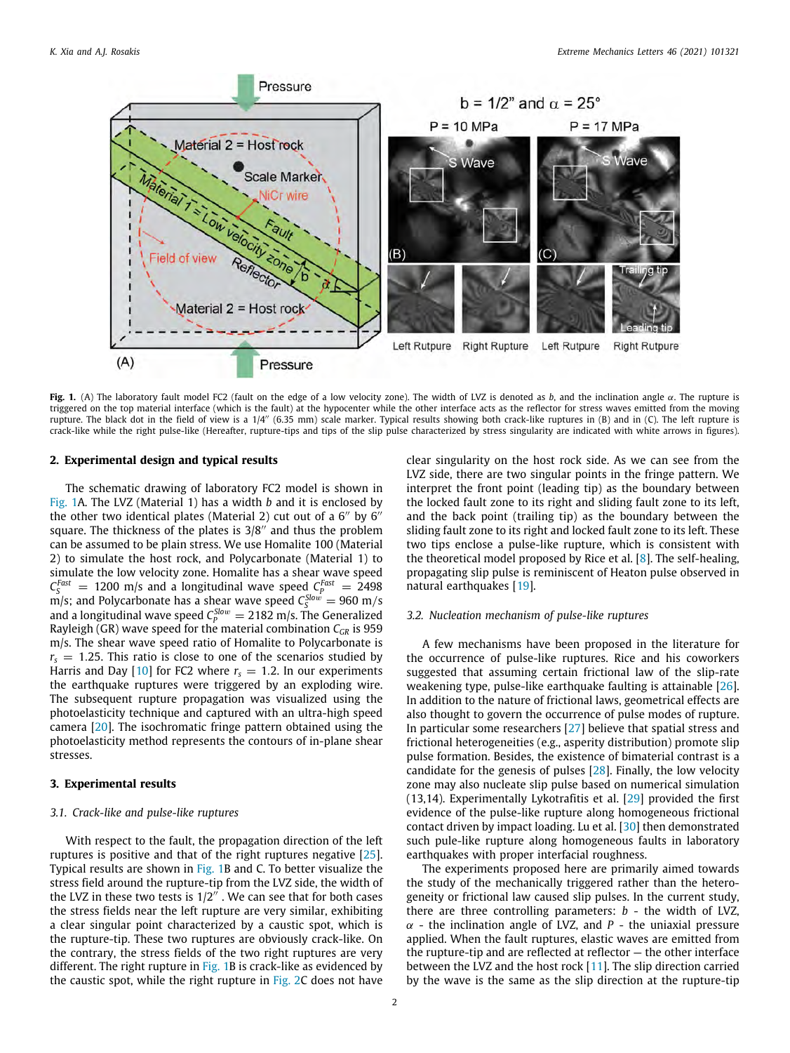

<span id="page-1-0"></span>**Fig. 1.** (A) The laboratory fault model FC2 (fault on the edge of a low velocity zone). The width of LVZ is denoted as *b*, and the inclination angle α. The rupture is triggered on the top material interface (which is the fault) at the hypocenter while the other interface acts as the reflector for stress waves emitted from the moving rupture. The black dot in the field of view is a 1/4" (6.35 mm) scale marker. Typical results showing both crack-like ruptures in (B) and in (C). The left rupture is crack-like while the right pulse-like (Hereafter, rupture-tips and tips of the slip pulse characterized by stress singularity are indicated with white arrows in figures).

## **2. Experimental design and typical results**

The schematic drawing of laboratory FC2 model is shown in [Fig. 1](#page-1-0)A. The LVZ (Material 1) has a width *b* and it is enclosed by the other two identical plates (Material 2) cut out of a 6<sup>"</sup> by 6" square. The thickness of the plates is 3/8′′ and thus the problem can be assumed to be plain stress. We use Homalite 100 (Material 2) to simulate the host rock, and Polycarbonate (Material 1) to simulate the low velocity zone. Homalite has a shear wave speed  $C_S^{Fast}$  = 1200 m/s and a longitudinal wave speed  $C_P^{Fast}$  = 2498 m/s; and Polycarbonate has a shear wave speed  $C_S^{Slow} = 960$  m/s and a longitudinal wave speed  $C_P^{Show} = 2182$  m/s. The Generalized Rayleigh (GR) wave speed for the material combination *CGR* is 959 m/s. The shear wave speed ratio of Homalite to Polycarbonate is  $r<sub>s</sub> = 1.25$ . This ratio is close to one of the scenarios studied by Harris and Day  $[10]$  for FC2 where  $r<sub>s</sub> = 1.2$ . In our experiments the earthquake ruptures were triggered by an exploding wire. The subsequent rupture propagation was visualized using the photoelasticity technique and captured with an ultra-high speed camera [[20](#page-4-15)]. The isochromatic fringe pattern obtained using the photoelasticity method represents the contours of in-plane shear stresses.

## **3. Experimental results**

# *3.1. Crack-like and pulse-like ruptures*

With respect to the fault, the propagation direction of the left ruptures is positive and that of the right ruptures negative [\[25\]](#page-4-20). Typical results are shown in [Fig. 1B](#page-1-0) and C. To better visualize the stress field around the rupture-tip from the LVZ side, the width of the LVZ in these two tests is  $1/2''$  . We can see that for both cases the stress fields near the left rupture are very similar, exhibiting a clear singular point characterized by a caustic spot, which is the rupture-tip. These two ruptures are obviously crack-like. On the contrary, the stress fields of the two right ruptures are very different. The right rupture in [Fig. 1B](#page-1-0) is crack-like as evidenced by the caustic spot, while the right rupture in [Fig. 2C](#page-2-0) does not have

clear singularity on the host rock side. As we can see from the LVZ side, there are two singular points in the fringe pattern. We interpret the front point (leading tip) as the boundary between the locked fault zone to its right and sliding fault zone to its left, and the back point (trailing tip) as the boundary between the sliding fault zone to its right and locked fault zone to its left. These two tips enclose a pulse-like rupture, which is consistent with the theoretical model proposed by Rice et al. [[8](#page-4-4)]. The self-healing, propagating slip pulse is reminiscent of Heaton pulse observed in natural earthquakes [[19](#page-4-13)].

## *3.2. Nucleation mechanism of pulse-like ruptures*

A few mechanisms have been proposed in the literature for the occurrence of pulse-like ruptures. Rice and his coworkers suggested that assuming certain frictional law of the slip-rate weakening type, pulse-like earthquake faulting is attainable [\[26\]](#page-4-21). In addition to the nature of frictional laws, geometrical effects are also thought to govern the occurrence of pulse modes of rupture. In particular some researchers [[27](#page-4-22)] believe that spatial stress and frictional heterogeneities (e.g., asperity distribution) promote slip pulse formation. Besides, the existence of bimaterial contrast is a candidate for the genesis of pulses [\[28\]](#page-4-23). Finally, the low velocity zone may also nucleate slip pulse based on numerical simulation (13,14). Experimentally Lykotrafitis et al. [\[29\]](#page-4-24) provided the first evidence of the pulse-like rupture along homogeneous frictional contact driven by impact loading. Lu et al. [[30\]](#page-4-25) then demonstrated such pule-like rupture along homogeneous faults in laboratory earthquakes with proper interfacial roughness.

The experiments proposed here are primarily aimed towards the study of the mechanically triggered rather than the heterogeneity or frictional law caused slip pulses. In the current study, there are three controlling parameters: *b* - the width of LVZ, α - the inclination angle of LVZ, and *P* - the uniaxial pressure applied. When the fault ruptures, elastic waves are emitted from the rupture-tip and are reflected at reflector — the other interface between the LVZ and the host rock [\[11\]](#page-4-12). The slip direction carried by the wave is the same as the slip direction at the rupture-tip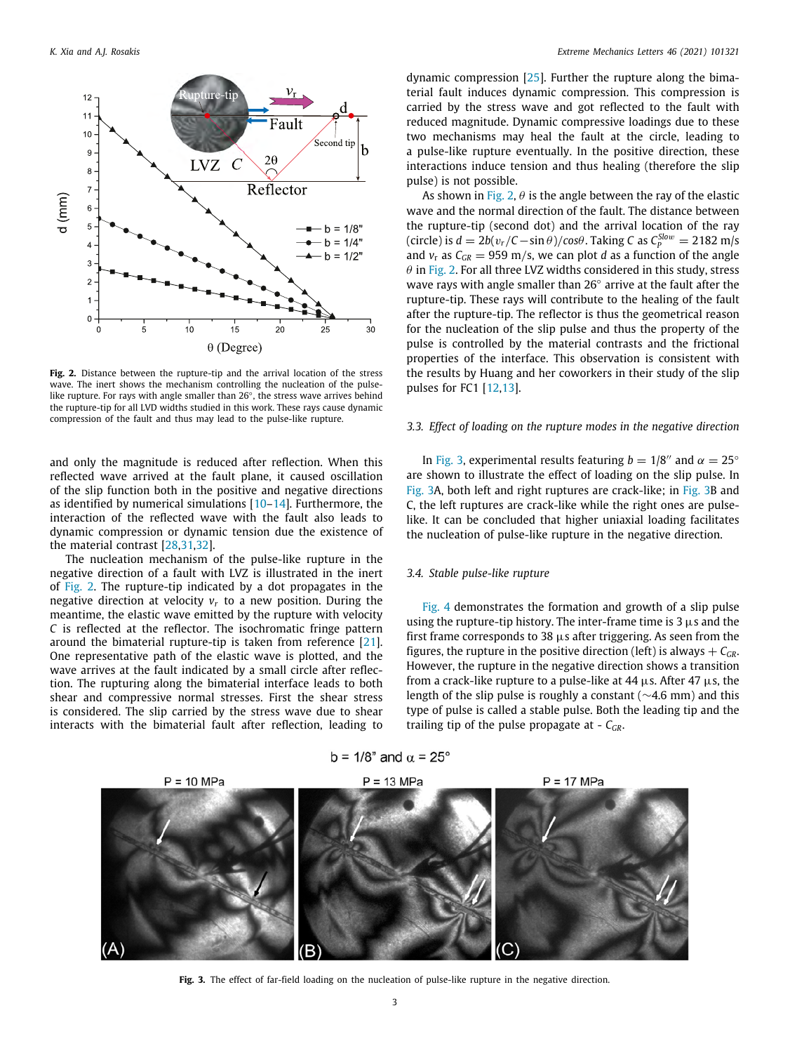

<span id="page-2-0"></span>**Fig. 2.** Distance between the rupture-tip and the arrival location of the stress wave. The inert shows the mechanism controlling the nucleation of the pulselike rupture. For rays with angle smaller than 26◦ , the stress wave arrives behind the rupture-tip for all LVD widths studied in this work. These rays cause dynamic compression of the fault and thus may lead to the pulse-like rupture.

and only the magnitude is reduced after reflection. When this reflected wave arrived at the fault plane, it caused oscillation of the slip function both in the positive and negative directions as identified by numerical simulations [\[10](#page-4-6)–[14](#page-4-7)]. Furthermore, the interaction of the reflected wave with the fault also leads to dynamic compression or dynamic tension due the existence of the material contrast [[28](#page-4-23)[,31,](#page-4-26)[32](#page-4-27)].

The nucleation mechanism of the pulse-like rupture in the negative direction of a fault with LVZ is illustrated in the inert of [Fig. 2.](#page-2-0) The rupture-tip indicated by a dot propagates in the negative direction at velocity  $v_r$  to a new position. During the meantime, the elastic wave emitted by the rupture with velocity *C* is reflected at the reflector. The isochromatic fringe pattern around the bimaterial rupture-tip is taken from reference [\[21\]](#page-4-16). One representative path of the elastic wave is plotted, and the wave arrives at the fault indicated by a small circle after reflection. The rupturing along the bimaterial interface leads to both shear and compressive normal stresses. First the shear stress is considered. The slip carried by the stress wave due to shear interacts with the bimaterial fault after reflection, leading to

dynamic compression [[25](#page-4-20)]. Further the rupture along the bimaterial fault induces dynamic compression. This compression is carried by the stress wave and got reflected to the fault with reduced magnitude. Dynamic compressive loadings due to these two mechanisms may heal the fault at the circle, leading to a pulse-like rupture eventually. In the positive direction, these interactions induce tension and thus healing (therefore the slip pulse) is not possible.

As shown in [Fig. 2](#page-2-0),  $\theta$  is the angle between the ray of the elastic wave and the normal direction of the fault. The distance between the rupture-tip (second dot) and the arrival location of the ray  $(\text{circle})$  is  $d = 2b(v_r/C - \sin \theta)/\cos \theta$ . Taking *C* as  $C_p^{\text{slow}} = 2182 \text{ m/s}$ and  $v_r$  as  $C_{GR} = 959$  m/s, we can plot *d* as a function of the angle  $\theta$  in [Fig. 2](#page-2-0). For all three LVZ widths considered in this study, stress wave rays with angle smaller than 26° arrive at the fault after the rupture-tip. These rays will contribute to the healing of the fault after the rupture-tip. The reflector is thus the geometrical reason for the nucleation of the slip pulse and thus the property of the pulse is controlled by the material contrasts and the frictional properties of the interface. This observation is consistent with the results by Huang and her coworkers in their study of the slip pulses for FC1 [[12,](#page-4-14)[13](#page-4-28)].

## *3.3. Effect of loading on the rupture modes in the negative direction*

In [Fig. 3](#page-2-1), experimental results featuring  $b = 1/8''$  and  $\alpha = 25^{\circ}$ are shown to illustrate the effect of loading on the slip pulse. In [Fig. 3](#page-2-1)A, both left and right ruptures are crack-like; in [Fig. 3B](#page-2-1) and C, the left ruptures are crack-like while the right ones are pulselike. It can be concluded that higher uniaxial loading facilitates the nucleation of pulse-like rupture in the negative direction.

# *3.4. Stable pulse-like rupture*

[Fig. 4](#page-3-0) demonstrates the formation and growth of a slip pulse using the rupture-tip history. The inter-frame time is  $3 \mu s$  and the first frame corresponds to 38  $\mu$ s after triggering. As seen from the figures, the rupture in the positive direction (left) is always  $+ C_{GR}$ . However, the rupture in the negative direction shows a transition from a crack-like rupture to a pulse-like at 44  $\mu$ s. After 47  $\mu$ s, the length of the slip pulse is roughly a constant (∼4.6 mm) and this type of pulse is called a stable pulse. Both the leading tip and the trailing tip of the pulse propagate at - *CGR*.



<span id="page-2-1"></span>**Fig. 3.** The effect of far-field loading on the nucleation of pulse-like rupture in the negative direction.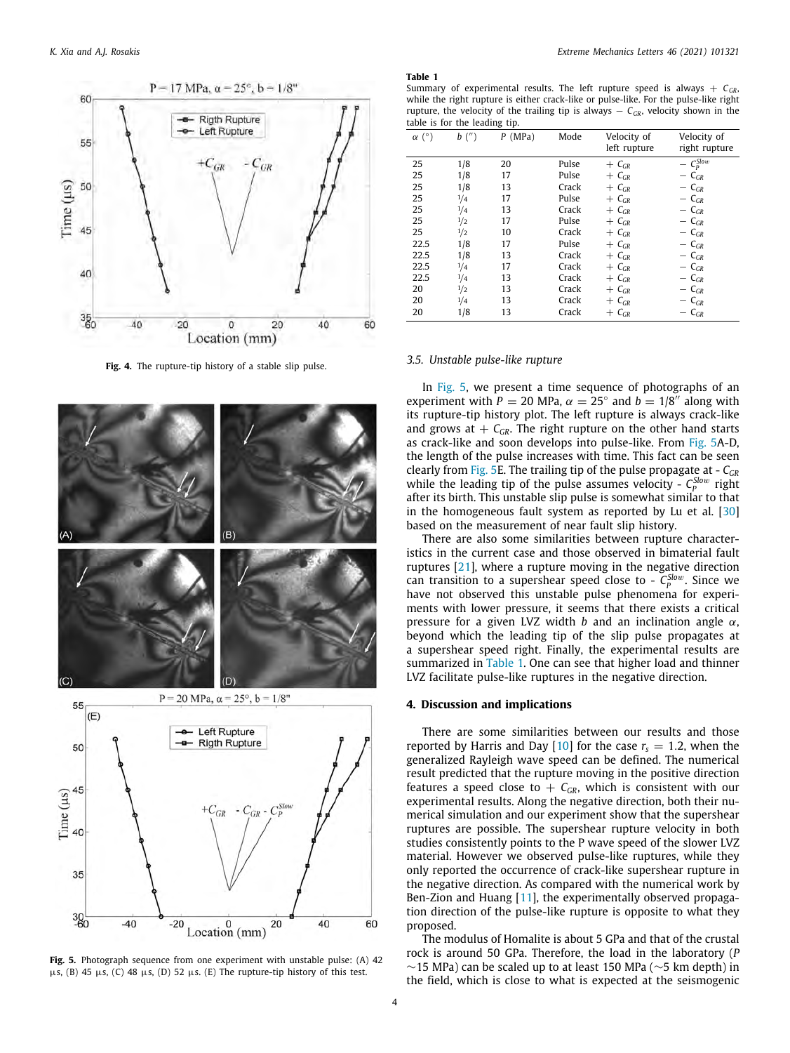

**Fig. 4.** The rupture-tip history of a stable slip pulse.

<span id="page-3-0"></span>

<span id="page-3-1"></span>**Fig. 5.** Photograph sequence from one experiment with unstable pulse: (A) 42  $\mu$ s, (B) 45  $\mu$ s, (C) 48  $\mu$ s, (D) 52  $\mu$ s. (E) The rupture-tip history of this test.

## **Table 1**

Summary of experimental results. The left rupture speed is always  $+ C_{GR}$ , while the right rupture is either crack-like or pulse-like. For the pulse-like right rupture, the velocity of the trailing tip is always − *CGR*, velocity shown in the table is for the leading tip.

<span id="page-3-2"></span>

| $\alpha$ (°) | $b$ (") | $P$ (MPa) | Mode  | Velocity of<br>left rupture | Velocity of<br>right rupture |
|--------------|---------|-----------|-------|-----------------------------|------------------------------|
| 25           | 1/8     | 20        | Pulse | $+ C_{GR}$                  | $-C_P^{Slow}$                |
| 25           | 1/8     | 17        | Pulse | $+ C_{GR}$                  | $- C_{GR}$                   |
| 25           | 1/8     | 13        | Crack | $+ C_{GR}$                  | $-C_{GR}$                    |
| 25           | 1/4     | 17        | Pulse | $+ C_{GR}$                  | $- C_{GR}$                   |
| 25           | 1/4     | 13        | Crack | $+ C_{GR}$                  | $- C_{GR}$                   |
| 25           | 1/2     | 17        | Pulse | $+ C_{GR}$                  | $-C_{GR}$                    |
| 25           | 1/2     | 10        | Crack | $+ C_{GR}$                  | $-C_{GR}$                    |
| 22.5         | 1/8     | 17        | Pulse | $+ C_{GR}$                  | $-C_{GR}$                    |
| 22.5         | 1/8     | 13        | Crack | $+ C_{GR}$                  | $-C_{GR}$                    |
| 22.5         | 1/4     | 17        | Crack | $+ C_{GR}$                  | $- C_{GR}$                   |
| 22.5         | 1/4     | 13        | Crack | $+ C_{GR}$                  | $- C_{GR}$                   |
| 20           | 1/2     | 13        | Crack | $+ C_{GR}$                  | $-C_{GR}$                    |
| 20           | 1/4     | 13        | Crack | $+ C_{GR}$                  | $- C_{GR}$                   |
| 20           | 1/8     | 13        | Crack | $+ C_{GR}$                  | $- C_{GR}$                   |

### *3.5. Unstable pulse-like rupture*

In [Fig. 5,](#page-3-1) we present a time sequence of photographs of an experiment with  $P = 20$  MPa,  $\alpha = 25^{\circ}$  and  $b = 1/8^{\prime\prime}$  along with its rupture-tip history plot. The left rupture is always crack-like and grows at  $+ C_{GR}$ . The right rupture on the other hand starts as crack-like and soon develops into pulse-like. From [Fig. 5A](#page-3-1)-D, the length of the pulse increases with time. This fact can be seen clearly from [Fig. 5](#page-3-1)E. The trailing tip of the pulse propagate at - *CGR* while the leading tip of the pulse assumes velocity -  $C_p^{Slow}$  right after its birth. This unstable slip pulse is somewhat similar to that in the homogeneous fault system as reported by Lu et al. [\[30\]](#page-4-25) based on the measurement of near fault slip history.

There are also some similarities between rupture characteristics in the current case and those observed in bimaterial fault ruptures [\[21](#page-4-16)], where a rupture moving in the negative direction can transition to a supershear speed close to -  $C_p^{Slow}$ . Since we have not observed this unstable pulse phenomena for experiments with lower pressure, it seems that there exists a critical pressure for a given LVZ width *b* and an inclination angle  $\alpha$ , beyond which the leading tip of the slip pulse propagates at a supershear speed right. Finally, the experimental results are summarized in [Table 1.](#page-3-2) One can see that higher load and thinner LVZ facilitate pulse-like ruptures in the negative direction.

## **4. Discussion and implications**

There are some similarities between our results and those reported by Harris and Day [[10](#page-4-6)] for the case  $r<sub>s</sub> = 1.2$ , when the generalized Rayleigh wave speed can be defined. The numerical result predicted that the rupture moving in the positive direction features a speed close to  $+$   $C_{GR}$ , which is consistent with our experimental results. Along the negative direction, both their numerical simulation and our experiment show that the supershear ruptures are possible. The supershear rupture velocity in both studies consistently points to the P wave speed of the slower LVZ material. However we observed pulse-like ruptures, while they only reported the occurrence of crack-like supershear rupture in the negative direction. As compared with the numerical work by Ben-Zion and Huang [[11\]](#page-4-12), the experimentally observed propagation direction of the pulse-like rupture is opposite to what they proposed.

The modulus of Homalite is about 5 GPa and that of the crustal rock is around 50 GPa. Therefore, the load in the laboratory (*P*  $\sim$ 15 MPa) can be scaled up to at least 150 MPa ( $\sim$ 5 km depth) in the field, which is close to what is expected at the seismogenic